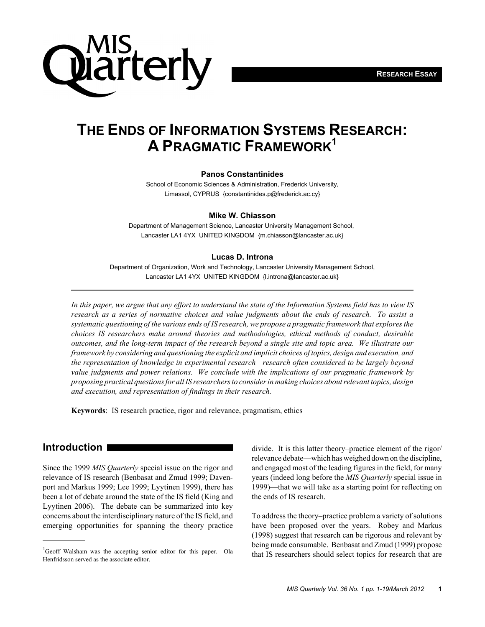

# **THE ENDS OF INFORMATION SYSTEMS RESEARCH: A PRAGMATIC FRAMEWORK1**

#### **Panos Constantinides**

School of Economic Sciences & Administration, Frederick University, Limassol, CYPRUS {constantinides.p@frederick.ac.cy}

#### **Mike W. Chiasson**

Department of Management Science, Lancaster University Management School, Lancaster LA1 4YX UNITED KINGDOM {m.chiasson@lancaster.ac.uk}

#### **Lucas D. Introna**

Department of Organization, Work and Technology, Lancaster University Management School, Lancaster LA1 4YX UNITED KINGDOM {l.introna@lancaster.ac.uk}

*In this paper, we argue that any effort to understand the state of the Information Systems field has to view IS research as a series of normative choices and value judgments about the ends of research. To assist a systematic questioning of the various ends of IS research, we propose a pragmatic framework that explores the choices IS researchers make around theories and methodologies, ethical methods of conduct, desirable outcomes, and the long-term impact of the research beyond a single site and topic area. We illustrate our framework by considering and questioning the explicit and implicit choices of topics, design and execution, and the representation of knowledge in experimental research—research often considered to be largely beyond value judgments and power relations. We conclude with the implications of our pragmatic framework by proposing practical questions for all IS researchers to consider in making choices about relevant topics, design and execution, and representation of findings in their research.*

**Keywords**: IS research practice, rigor and relevance, pragmatism, ethics

## **Introduction**

Since the 1999 *MIS Quarterly* special issue on the rigor and relevance of IS research (Benbasat and Zmud 1999; Davenport and Markus 1999; Lee 1999; Lyytinen 1999), there has been a lot of debate around the state of the IS field (King and Lyytinen 2006). The debate can be summarized into key concerns about the interdisciplinary nature of the IS field, and emerging opportunities for spanning the theory–practice

divide. It is this latter theory–practice element of the rigor/ relevance debate—which has weighed down on the discipline, and engaged most of the leading figures in the field, for many years (indeed long before the *MIS Quarterly* special issue in 1999)—that we will take as a starting point for reflecting on the ends of IS research.

To address the theory–practice problem a variety of solutions have been proposed over the years. Robey and Markus (1998) suggest that research can be rigorous and relevant by being made consumable. Benbasat and Zmud (1999) propose <sup>1</sup>Geoff Walsham was the accepting senior editor for this paper. Ola<br>that IS researchers should select topics for research that are

Henfridsson served as the associate editor.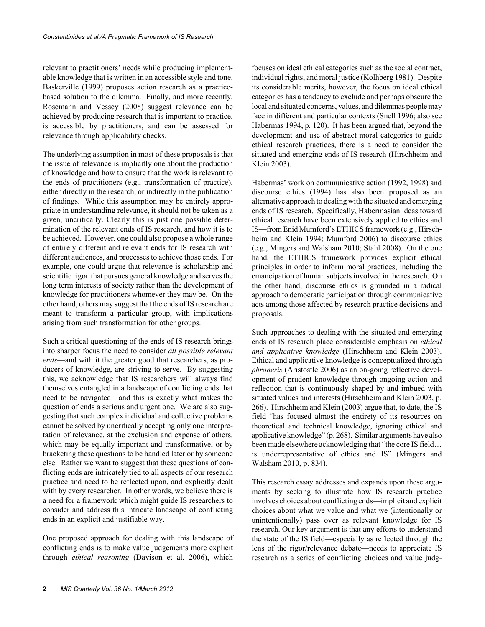relevant to practitioners' needs while producing implementable knowledge that is written in an accessible style and tone. Baskerville (1999) proposes action research as a practicebased solution to the dilemma. Finally, and more recently, Rosemann and Vessey (2008) suggest relevance can be achieved by producing research that is important to practice, is accessible by practitioners, and can be assessed for relevance through applicability checks.

The underlying assumption in most of these proposals is that the issue of relevance is implicitly one about the production of knowledge and how to ensure that the work is relevant to the ends of practitioners (e.g., transformation of practice), either directly in the research, or indirectly in the publication of findings. While this assumption may be entirely appropriate in understanding relevance, it should not be taken as a given, uncritically. Clearly this is just one possible determination of the relevant ends of IS research, and how it is to be achieved. However, one could also propose a whole range of entirely different and relevant ends for IS research with different audiences, and processes to achieve those ends. For example, one could argue that relevance is scholarship and scientific rigor that pursues general knowledge and serves the long term interests of society rather than the development of knowledge for practitioners whomever they may be. On the other hand, others may suggest that the ends of IS research are meant to transform a particular group, with implications arising from such transformation for other groups.

Such a critical questioning of the ends of IS research brings into sharper focus the need to consider *all possible relevant ends*—and with it the greater good that researchers, as producers of knowledge, are striving to serve. By suggesting this, we acknowledge that IS researchers will always find themselves entangled in a landscape of conflicting ends that need to be navigated—and this is exactly what makes the question of ends a serious and urgent one. We are also suggesting that such complex individual and collective problems cannot be solved by uncritically accepting only one interpretation of relevance, at the exclusion and expense of others, which may be equally important and transformative, or by bracketing these questions to be handled later or by someone else. Rather we want to suggest that these questions of conflicting ends are intricately tied to all aspects of our research practice and need to be reflected upon, and explicitly dealt with by every researcher. In other words, we believe there is a need for a framework which might guide IS researchers to consider and address this intricate landscape of conflicting ends in an explicit and justifiable way.

One proposed approach for dealing with this landscape of conflicting ends is to make value judgements more explicit through *ethical reasoning* (Davison et al. 2006), which

focuses on ideal ethical categories such as the social contract, individual rights, and moral justice (Kolhberg 1981). Despite its considerable merits, however, the focus on ideal ethical categories has a tendency to exclude and perhaps obscure the local and situated concerns, values, and dilemmas people may face in different and particular contexts (Snell 1996; also see Habermas 1994, p. 120). It has been argued that, beyond the development and use of abstract moral categories to guide ethical research practices, there is a need to consider the situated and emerging ends of IS research (Hirschheim and Klein 2003).

Habermas' work on communicative action (1992, 1998) and discourse ethics (1994) has also been proposed as an alternative approach to dealing with the situated and emerging ends of IS research. Specifically, Habermasian ideas toward ethical research have been extensively applied to ethics and IS—from Enid Mumford's ETHICS framework (e.g., Hirschheim and Klein 1994; Mumford 2006) to discourse ethics (e.g., Mingers and Walsham 2010; Stahl 2008). On the one hand, the ETHICS framework provides explicit ethical principles in order to inform moral practices, including the emancipation of human subjects involved in the research. On the other hand, discourse ethics is grounded in a radical approach to democratic participation through communicative acts among those affected by research practice decisions and proposals.

Such approaches to dealing with the situated and emerging ends of IS research place considerable emphasis on *ethical and applicative knowledge* (Hirschheim and Klein 2003). Ethical and applicative knowledge is conceptualized through *phronesis* (Aristostle 2006) as an on-going reflective development of prudent knowledge through ongoing action and reflection that is continuously shaped by and imbued with situated values and interests (Hirschheim and Klein 2003, p. 266). Hirschheim and Klein (2003) argue that, to date, the IS field "has focused almost the entirety of its resources on theoretical and technical knowledge, ignoring ethical and applicative knowledge" (p. 268). Similar arguments have also been made elsewhere acknowledging that "the core IS field… is underrepresentative of ethics and IS" (Mingers and Walsham 2010, p. 834).

This research essay addresses and expands upon these arguments by seeking to illustrate how IS research practice involves choices about conflicting ends—implicit and explicit choices about what we value and what we (intentionally or unintentionally) pass over as relevant knowledge for IS research. Our key argument is that any efforts to understand the state of the IS field—especially as reflected through the lens of the rigor/relevance debate—needs to appreciate IS research as a series of conflicting choices and value judg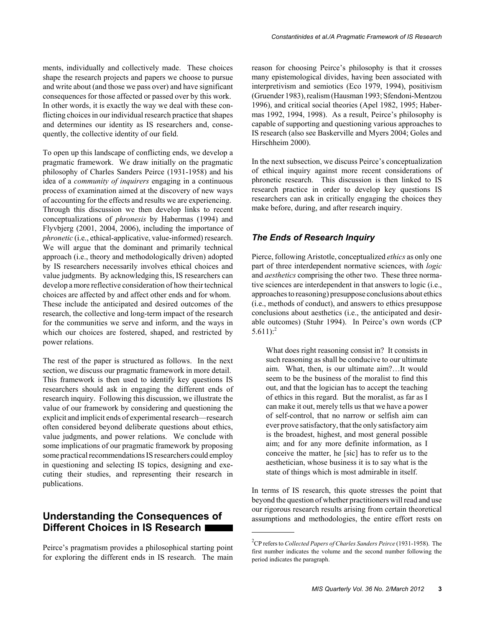ments, individually and collectively made. These choices shape the research projects and papers we choose to pursue and write about (and those we pass over) and have significant consequences for those affected or passed over by this work. In other words, it is exactly the way we deal with these conflicting choices in our individual research practice that shapes and determines our identity as IS researchers and, consequently, the collective identity of our field.

To open up this landscape of conflicting ends, we develop a pragmatic framework. We draw initially on the pragmatic philosophy of Charles Sanders Peirce (1931-1958) and his idea of a *community of inquirers* engaging in a continuous process of examination aimed at the discovery of new ways of accounting for the effects and results we are experiencing. Through this discussion we then develop links to recent conceptualizations of *phronesis* by Habermas (1994) and Flyvbjerg (2001, 2004, 2006), including the importance of *phronetic* (i.e., ethical-applicative, value-informed) research. We will argue that the dominant and primarily technical approach (i.e., theory and methodologically driven) adopted by IS researchers necessarily involves ethical choices and value judgments. By acknowledging this, IS researchers can develop a more reflective consideration of how their technical choices are affected by and affect other ends and for whom. These include the anticipated and desired outcomes of the research, the collective and long-term impact of the research for the communities we serve and inform, and the ways in which our choices are fostered, shaped, and restricted by power relations.

The rest of the paper is structured as follows. In the next section, we discuss our pragmatic framework in more detail. This framework is then used to identify key questions IS researchers should ask in engaging the different ends of research inquiry. Following this discussion, we illustrate the value of our framework by considering and questioning the explicit and implicit ends of experimental research—research often considered beyond deliberate questions about ethics, value judgments, and power relations. We conclude with some implications of our pragmatic framework by proposing some practical recommendations IS researchers could employ in questioning and selecting IS topics, designing and executing their studies, and representing their research in publications.

## **Understanding the Consequences of Different Choices in IS Research**

Peirce's pragmatism provides a philosophical starting point for exploring the different ends in IS research. The main reason for choosing Peirce's philosophy is that it crosses many epistemological divides, having been associated with interpretivism and semiotics (Eco 1979, 1994), positivism (Gruender 1983), realism (Hausman 1993; Sfendoni-Mentzou 1996), and critical social theories (Apel 1982, 1995; Habermas 1992, 1994, 1998). As a result, Peirce's philosophy is capable of supporting and questioning various approaches to IS research (also see Baskerville and Myers 2004; Goles and Hirschheim 2000).

In the next subsection, we discuss Peirce's conceptualization of ethical inquiry against more recent considerations of phronetic research. This discussion is then linked to IS research practice in order to develop key questions IS researchers can ask in critically engaging the choices they make before, during, and after research inquiry.

## *The Ends of Research Inquiry*

Pierce, following Aristotle, conceptualized *ethics* as only one part of three interdependent normative sciences, with *logic* and *aesthetics* comprising the other two. These three normative sciences are interdependent in that answers to logic (i.e., approaches to reasoning) presuppose conclusions about ethics (i.e., methods of conduct), and answers to ethics presuppose conclusions about aesthetics (i.e., the anticipated and desirable outcomes) (Stuhr 1994). In Peirce's own words (CP  $5.611$ :<sup>2</sup>

What does right reasoning consist in? It consists in such reasoning as shall be conducive to our ultimate aim. What, then, is our ultimate aim?…It would seem to be the business of the moralist to find this out, and that the logician has to accept the teaching of ethics in this regard. But the moralist, as far as I can make it out, merely tells us that we have a power of self-control, that no narrow or selfish aim can ever prove satisfactory, that the only satisfactory aim is the broadest, highest, and most general possible aim; and for any more definite information, as I conceive the matter, he [sic] has to refer us to the aesthetician, whose business it is to say what is the state of things which is most admirable in itself.

In terms of IS research, this quote stresses the point that beyond the question of whether practitioners will read and use our rigorous research results arising from certain theoretical assumptions and methodologies, the entire effort rests on

<sup>2</sup> CP refers to *Collected Papers of Charles Sanders Peirce* (1931-1958). The first number indicates the volume and the second number following the period indicates the paragraph.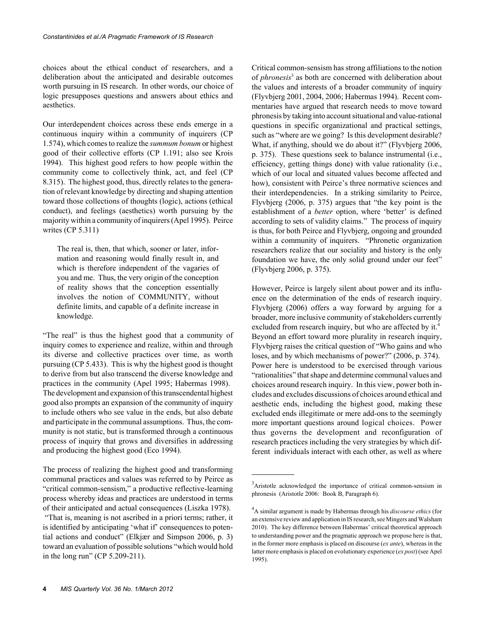choices about the ethical conduct of researchers, and a deliberation about the anticipated and desirable outcomes worth pursuing in IS research. In other words, our choice of logic presupposes questions and answers about ethics and aesthetics.

Our interdependent choices across these ends emerge in a continuous inquiry within a community of inquirers (CP 1.574), which comes to realize the *summum bonum* or highest good of their collective efforts (CP 1.191; also see Krois 1994). This highest good refers to how people within the community come to collectively think, act, and feel (CP 8.315). The highest good, thus, directly relates to the generation of relevant knowledge by directing and shaping attention toward those collections of thoughts (logic), actions (ethical conduct), and feelings (aesthetics) worth pursuing by the majority within a community of inquirers (Apel 1995). Peirce writes (CP 5.311)

The real is, then, that which, sooner or later, information and reasoning would finally result in, and which is therefore independent of the vagaries of you and me. Thus, the very origin of the conception of reality shows that the conception essentially involves the notion of COMMUNITY, without definite limits, and capable of a definite increase in knowledge.

"The real" is thus the highest good that a community of inquiry comes to experience and realize, within and through its diverse and collective practices over time, as worth pursuing (CP 5.433). This is why the highest good is thought to derive from but also transcend the diverse knowledge and practices in the community (Apel 1995; Habermas 1998). The development and expansion of this transcendental highest good also prompts an expansion of the community of inquiry to include others who see value in the ends, but also debate and participate in the communal assumptions. Thus, the community is not static, but is transformed through a continuous process of inquiry that grows and diversifies in addressing and producing the highest good (Eco 1994).

The process of realizing the highest good and transforming communal practices and values was referred to by Peirce as "critical common-sensism," a productive reflective-learning process whereby ideas and practices are understood in terms of their anticipated and actual consequences (Liszka 1978). "That is, meaning is not ascribed in a priori terms; rather, it is identified by anticipating 'what if' consequences to potential actions and conduct" (Elkjær and Simpson 2006, p. 3) toward an evaluation of possible solutions "which would hold in the long run" (CP 5.209-211).

Critical common-sensism has strong affiliations to the notion of *phronesis*<sup>3</sup> as both are concerned with deliberation about the values and interests of a broader community of inquiry (Flyvbjerg 2001, 2004, 2006; Habermas 1994). Recent commentaries have argued that research needs to move toward phronesis by taking into account situational and value-rational questions in specific organizational and practical settings, such as "where are we going? Is this development desirable? What, if anything, should we do about it?" (Flyvbjerg 2006, p. 375). These questions seek to balance instrumental (i.e., efficiency, getting things done) with value rationality (i.e., which of our local and situated values become affected and how), consistent with Peirce's three normative sciences and their interdependencies. In a striking similarity to Peirce, Flyvbjerg (2006, p. 375) argues that "the key point is the establishment of a *better* option, where 'better' is defined according to sets of validity claims." The process of inquiry is thus, for both Peirce and Flyvbjerg, ongoing and grounded within a community of inquirers. "Phronetic organization researchers realize that our sociality and history is the only foundation we have, the only solid ground under our feet" (Flyvbjerg 2006, p. 375).

However, Peirce is largely silent about power and its influence on the determination of the ends of research inquiry. Flyvbjerg (2006) offers a way forward by arguing for a broader, more inclusive community of stakeholders currently excluded from research inquiry, but who are affected by it.<sup>4</sup> Beyond an effort toward more plurality in research inquiry, Flyvbjerg raises the critical question of "Who gains and who loses, and by which mechanisms of power?" (2006, p. 374). Power here is understood to be exercised through various "rationalities" that shape and determine communal values and choices around research inquiry. In this view, power both includes and excludes discussions of choices around ethical and aesthetic ends, including the highest good, making these excluded ends illegitimate or mere add-ons to the seemingly more important questions around logical choices. Power thus governs the development and reconfiguration of research practices including the very strategies by which different individuals interact with each other, as well as where

<sup>&</sup>lt;sup>3</sup>Aristotle acknowledged the importance of critical common-sensism in phronesis (Aristotle 2006: Book B, Paragraph 6).

<sup>4</sup> A similar argument is made by Habermas through his *discourse ethics* (for an extensive review and application in IS research, see Mingers and Walsham 2010). The key difference between Habermas' critical theoretical approach to understanding power and the pragmatic approach we propose here is that, in the former more emphasis is placed on discourse (*ex ante*), whereas in the latter more emphasis is placed on evolutionary experience (*ex post*) (see Apel 1995).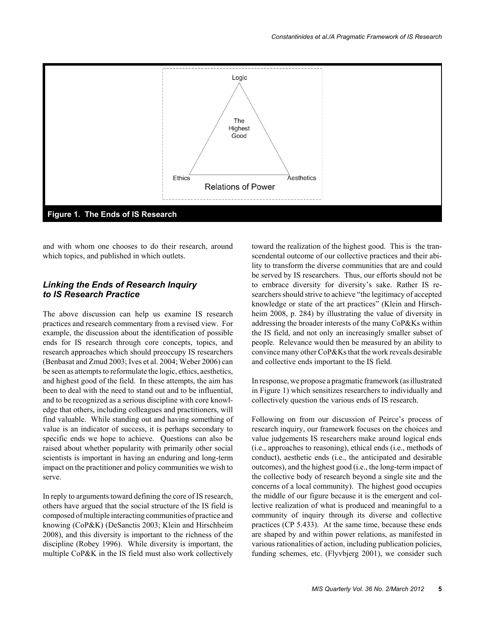

and with whom one chooses to do their research, around which topics, and published in which outlets.

## *Linking the Ends of Research Inquiry to IS Research Practice*

The above discussion can help us examine IS research practices and research commentary from a revised view. For example, the discussion about the identification of possible ends for IS research through core concepts, topics, and research approaches which should preoccupy IS researchers (Benbasat and Zmud 2003; Ives et al. 2004; Weber 2006) can be seen as attempts to reformulate the logic, ethics, aesthetics, and highest good of the field. In these attempts, the aim has been to deal with the need to stand out and to be influential, and to be recognized as a serious discipline with core knowledge that others, including colleagues and practitioners, will find valuable. While standing out and having something of value is an indicator of success, it is perhaps secondary to specific ends we hope to achieve. Questions can also be raised about whether popularity with primarily other social scientists is important in having an enduring and long-term impact on the practitioner and policy communities we wish to serve.

In reply to arguments toward defining the core of IS research, others have argued that the social structure of the IS field is composed of multiple interacting communities of practice and knowing (CoP&K) (DeSanctis 2003; Klein and Hirschheim 2008), and this diversity is important to the richness of the discipline (Robey 1996). While diversity is important, the multiple CoP&K in the IS field must also work collectively

toward the realization of the highest good. This is the transcendental outcome of our collective practices and their ability to transform the diverse communities that are and could be served by IS researchers. Thus, our efforts should not be to embrace diversity for diversity's sake. Rather IS researchers should strive to achieve "the legitimacy of accepted knowledge or state of the art practices" (Klein and Hirschheim 2008, p. 284) by illustrating the value of diversity in addressing the broader interests of the many CoP&Ks within the IS field, and not only an increasingly smaller subset of people. Relevance would then be measured by an ability to convince many other CoP&Ks that the work reveals desirable and collective ends important to the IS field.

In response, we propose a pragmatic framework (as illustrated in Figure 1) which sensitizes researchers to individually and collectively question the various ends of IS research.

Following on from our discussion of Peirce's process of research inquiry, our framework focuses on the choices and value judgements IS researchers make around logical ends (i.e., approaches to reasoning), ethical ends (i.e., methods of conduct), aesthetic ends (i.e., the anticipated and desirable outcomes), and the highest good (i.e., the long-term impact of the collective body of research beyond a single site and the concerns of a local community). The highest good occupies the middle of our figure because it is the emergent and collective realization of what is produced and meaningful to a community of inquiry through its diverse and collective practices (CP 5.433). At the same time, because these ends are shaped by and within power relations, as manifested in various rationalities of action, including publication policies, funding schemes, etc. (Flyvbjerg 2001), we consider such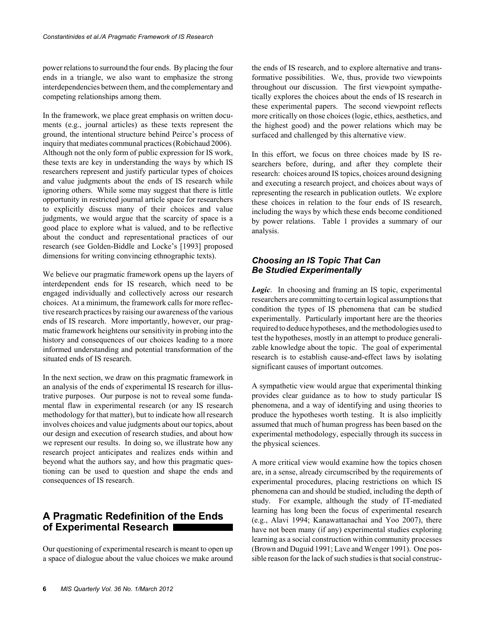power relations to surround the four ends. By placing the four ends in a triangle, we also want to emphasize the strong interdependencies between them, and the complementary and competing relationships among them.

In the framework, we place great emphasis on written documents (e.g., journal articles) as these texts represent the ground, the intentional structure behind Peirce's process of inquiry that mediates communal practices (Robichaud 2006). Although not the only form of public expression for IS work, these texts are key in understanding the ways by which IS researchers represent and justify particular types of choices and value judgments about the ends of IS research while ignoring others. While some may suggest that there is little opportunity in restricted journal article space for researchers to explicitly discuss many of their choices and value judgments, we would argue that the scarcity of space is a good place to explore what is valued, and to be reflective about the conduct and representational practices of our research (see Golden-Biddle and Locke's [1993] proposed dimensions for writing convincing ethnographic texts).

We believe our pragmatic framework opens up the layers of interdependent ends for IS research, which need to be engaged individually and collectively across our research choices. At a minimum, the framework calls for more reflective research practices by raising our awareness of the various ends of IS research. More importantly, however, our pragmatic framework heightens our sensitivity in probing into the history and consequences of our choices leading to a more informed understanding and potential transformation of the situated ends of IS research.

In the next section, we draw on this pragmatic framework in an analysis of the ends of experimental IS research for illustrative purposes. Our purpose is not to reveal some fundamental flaw in experimental research (or any IS research methodology for that matter), but to indicate how all research involves choices and value judgments about our topics, about our design and execution of research studies, and about how we represent our results. In doing so, we illustrate how any research project anticipates and realizes ends within and beyond what the authors say, and how this pragmatic questioning can be used to question and shape the ends and consequences of IS research.

# **A Pragmatic Redefinition of the Ends of Experimental Research**

Our questioning of experimental research is meant to open up a space of dialogue about the value choices we make around the ends of IS research, and to explore alternative and transformative possibilities. We, thus, provide two viewpoints throughout our discussion. The first viewpoint sympathetically explores the choices about the ends of IS research in these experimental papers. The second viewpoint reflects more critically on those choices (logic, ethics, aesthetics, and the highest good) and the power relations which may be surfaced and challenged by this alternative view.

In this effort, we focus on three choices made by IS researchers before, during, and after they complete their research: choices around IS topics, choices around designing and executing a research project, and choices about ways of representing the research in publication outlets. We explore these choices in relation to the four ends of IS research, including the ways by which these ends become conditioned by power relations. Table 1 provides a summary of our analysis.

## *Choosing an IS Topic That Can Be Studied Experimentally*

*Logic*. In choosing and framing an IS topic, experimental researchers are committing to certain logical assumptions that condition the types of IS phenomena that can be studied experimentally. Particularly important here are the theories required to deduce hypotheses, and the methodologies used to test the hypotheses, mostly in an attempt to produce generalizable knowledge about the topic. The goal of experimental research is to establish cause-and-effect laws by isolating significant causes of important outcomes.

A sympathetic view would argue that experimental thinking provides clear guidance as to how to study particular IS phenomena, and a way of identifying and using theories to produce the hypotheses worth testing. It is also implicitly assumed that much of human progress has been based on the experimental methodology, especially through its success in the physical sciences.

A more critical view would examine how the topics chosen are, in a sense, already circumscribed by the requirements of experimental procedures, placing restrictions on which IS phenomena can and should be studied, including the depth of study. For example, although the study of IT-mediated learning has long been the focus of experimental research (e.g., Alavi 1994; Kanawattanachai and Yoo 2007), there have not been many (if any) experimental studies exploring learning as a social construction within community processes (Brown and Duguid 1991; Lave and Wenger 1991). One possible reason for the lack of such studies is that social construc-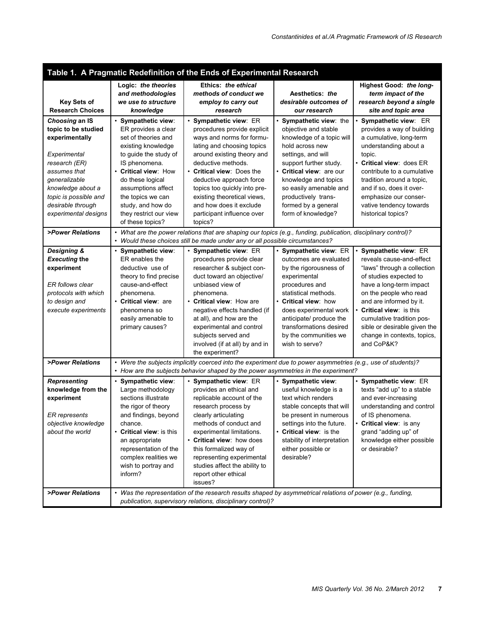| Table 1. A Pragmatic Redefinition of the Ends of Experimental Research                                                                                                                                               |                                                                                                                                                                                                                                                                                                  |                                                                                                                                                                                                                                                                                                                                                                  |                                                                                                                                                                                                                                                                                                   |                                                                                                                                                                                                                                                                                                                               |
|----------------------------------------------------------------------------------------------------------------------------------------------------------------------------------------------------------------------|--------------------------------------------------------------------------------------------------------------------------------------------------------------------------------------------------------------------------------------------------------------------------------------------------|------------------------------------------------------------------------------------------------------------------------------------------------------------------------------------------------------------------------------------------------------------------------------------------------------------------------------------------------------------------|---------------------------------------------------------------------------------------------------------------------------------------------------------------------------------------------------------------------------------------------------------------------------------------------------|-------------------------------------------------------------------------------------------------------------------------------------------------------------------------------------------------------------------------------------------------------------------------------------------------------------------------------|
| <b>Key Sets of</b><br><b>Research Choices</b>                                                                                                                                                                        | Logic: the theories<br>and methodologies<br>we use to structure<br>knowledge                                                                                                                                                                                                                     | Ethics: the ethical<br>methods of conduct we<br>employ to carry out<br>research                                                                                                                                                                                                                                                                                  | Aesthetics: the<br>desirable outcomes of<br>our research                                                                                                                                                                                                                                          | Highest Good: the long-<br>term impact of the<br>research beyond a single<br>site and topic area                                                                                                                                                                                                                              |
| Choosing an IS<br>topic to be studied<br>experimentally<br>Experimental<br>research (ER)<br>assumes that<br>generalizable<br>knowledge about a<br>topic is possible and<br>desirable through<br>experimental designs | · Sympathetic view:<br>ER provides a clear<br>set of theories and<br>existing knowledge<br>to guide the study of<br>IS phenomena.<br><b>Critical view: How</b><br>do these logical<br>assumptions affect<br>the topics we can<br>study, and how do<br>they restrict our view<br>of these topics? | · Sympathetic view: ER<br>procedures provide explicit<br>ways and norms for formu-<br>lating and choosing topics<br>around existing theory and<br>deductive methods.<br>• Critical view: Does the<br>deductive approach force<br>topics too quickly into pre-<br>existing theoretical views,<br>and how does it exclude<br>participant influence over<br>topics? | • Sympathetic view: the<br>objective and stable<br>knowledge of a topic will<br>hold across new<br>settings, and will<br>support further study.<br>• Critical view: are our<br>knowledge and topics<br>so easily amenable and<br>productively trans-<br>formed by a general<br>form of knowledge? | · Sympathetic view: ER<br>provides a way of building<br>a cumulative, long-term<br>understanding about a<br>topic.<br>• Critical view: does ER<br>contribute to a cumulative<br>tradition around a topic,<br>and if so, does it over-<br>emphasize our conser-<br>vative tendency towards<br>historical topics?               |
| >Power Relations                                                                                                                                                                                                     | What are the power relations that are shaping our topics (e.g., funding, publication, disciplinary control)?<br>Would these choices still be made under any or all possible circumstances?                                                                                                       |                                                                                                                                                                                                                                                                                                                                                                  |                                                                                                                                                                                                                                                                                                   |                                                                                                                                                                                                                                                                                                                               |
| Designing &<br><b>Executing the</b><br>experiment<br>ER follows clear<br>protocols with which<br>to design and<br>execute experiments                                                                                | Sympathetic view:<br>ER enables the<br>deductive use of<br>theory to find precise<br>cause-and-effect<br>phenomena.<br>• Critical view: are<br>phenomena so<br>easily amenable to<br>primary causes?                                                                                             | · Sympathetic view: ER<br>procedures provide clear<br>researcher & subject con-<br>duct toward an objective/<br>unbiased view of<br>phenomena.<br>• Critical view: How are<br>negative effects handled (if<br>at all), and how are the<br>experimental and control<br>subjects served and<br>involved (if at all) by and in<br>the experiment?                   | · Sympathetic view: ER<br>outcomes are evaluated<br>by the rigorousness of<br>experimental<br>procedures and<br>statistical methods.<br>• Critical view: how<br>does experimental work<br>anticipate/ produce the<br>transformations desired<br>by the communities we<br>wish to serve?           | Sympathetic view: ER<br>reveals cause-and-effect<br>"laws" through a collection<br>of studies expected to<br>have a long-term impact<br>on the people who read<br>and are informed by it.<br>Critical view: is this<br>cumulative tradition pos-<br>sible or desirable given the<br>change in contexts, topics,<br>and CoP&K? |
| >Power Relations                                                                                                                                                                                                     | • Were the subjects implicitly coerced into the experiment due to power asymmetries (e.g., use of students)?<br>• How are the subjects behavior shaped by the power asymmetries in the experiment?                                                                                               |                                                                                                                                                                                                                                                                                                                                                                  |                                                                                                                                                                                                                                                                                                   |                                                                                                                                                                                                                                                                                                                               |
| <b>Representing</b><br>knowledge from the<br>experiment<br><b>ER</b> represents<br>objective knowledge<br>about the world                                                                                            | · Sympathetic view:<br>Large methodology<br>sections illustrate<br>the rigor of theory<br>and findings, beyond<br>chance.<br><b>Critical view: is this</b><br>an appropriate<br>representation of the<br>complex realities we<br>wish to portray and<br>inform?                                  | · Sympathetic view: ER<br>provides an ethical and<br>replicable account of the<br>research process by<br>clearly articulating<br>methods of conduct and<br>experimental limitations.<br>• Critical view: how does<br>this formalized way of<br>representing experimental<br>studies affect the ability to<br>report other ethical<br>issues?                     | · Sympathetic view:<br>useful knowledge is a<br>text which renders<br>stable concepts that will<br>be present in numerous<br>settings into the future.<br>• Critical view: is the<br>stability of interpretation<br>either possible or<br>desirable?                                              | · Sympathetic view: ER<br>texts "add up" to a stable<br>and ever-increasing<br>understanding and control<br>of IS phenomena.<br>• Critical view: is any<br>grand "adding up" of<br>knowledge either possible<br>or desirable?                                                                                                 |
| >Power Relations                                                                                                                                                                                                     | • Was the representation of the research results shaped by asymmetrical relations of power (e.g., funding,<br>publication, supervisory relations, disciplinary control)?                                                                                                                         |                                                                                                                                                                                                                                                                                                                                                                  |                                                                                                                                                                                                                                                                                                   |                                                                                                                                                                                                                                                                                                                               |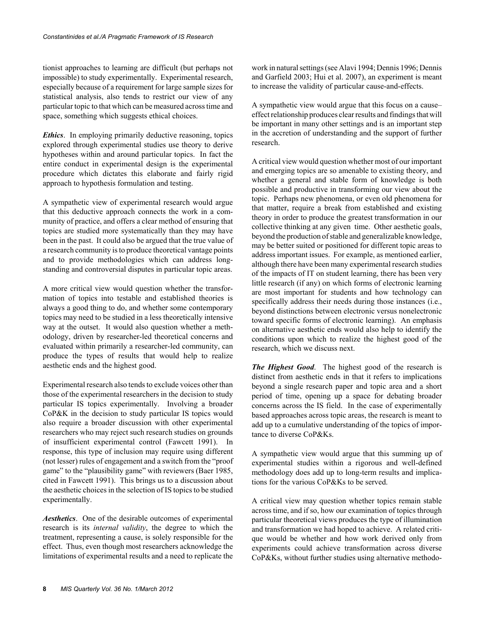tionist approaches to learning are difficult (but perhaps not impossible) to study experimentally. Experimental research, especially because of a requirement for large sample sizes for statistical analysis, also tends to restrict our view of any particular topic to that which can be measured across time and space, something which suggests ethical choices.

*Ethics*. In employing primarily deductive reasoning, topics explored through experimental studies use theory to derive hypotheses within and around particular topics. In fact the entire conduct in experimental design is the experimental procedure which dictates this elaborate and fairly rigid approach to hypothesis formulation and testing.

A sympathetic view of experimental research would argue that this deductive approach connects the work in a community of practice, and offers a clear method of ensuring that topics are studied more systematically than they may have been in the past. It could also be argued that the true value of a research community is to produce theoretical vantage points and to provide methodologies which can address longstanding and controversial disputes in particular topic areas.

A more critical view would question whether the transformation of topics into testable and established theories is always a good thing to do, and whether some contemporary topics may need to be studied in a less theoretically intensive way at the outset. It would also question whether a methodology, driven by researcher-led theoretical concerns and evaluated within primarily a researcher-led community, can produce the types of results that would help to realize aesthetic ends and the highest good.

Experimental research also tends to exclude voices other than those of the experimental researchers in the decision to study particular IS topics experimentally. Involving a broader CoP&K in the decision to study particular IS topics would also require a broader discussion with other experimental researchers who may reject such research studies on grounds of insufficient experimental control (Fawcett 1991). In response, this type of inclusion may require using different (not lesser) rules of engagement and a switch from the "proof game" to the "plausibility game" with reviewers (Baer 1985, cited in Fawcett 1991). This brings us to a discussion about the aesthetic choices in the selection of IS topics to be studied experimentally.

*Aesthetics*. One of the desirable outcomes of experimental research is its *internal validity*, the degree to which the treatment, representing a cause, is solely responsible for the effect. Thus, even though most researchers acknowledge the limitations of experimental results and a need to replicate the work in natural settings (see Alavi 1994; Dennis 1996; Dennis and Garfield 2003; Hui et al. 2007), an experiment is meant to increase the validity of particular cause-and-effects.

A sympathetic view would argue that this focus on a cause– effect relationship produces clear results and findings that will be important in many other settings and is an important step in the accretion of understanding and the support of further research.

A critical view would question whether most of our important and emerging topics are so amenable to existing theory, and whether a general and stable form of knowledge is both possible and productive in transforming our view about the topic. Perhaps new phenomena, or even old phenomena for that matter, require a break from established and existing theory in order to produce the greatest transformation in our collective thinking at any given time. Other aesthetic goals, beyond the production of stable and generalizable knowledge, may be better suited or positioned for different topic areas to address important issues. For example, as mentioned earlier, although there have been many experimental research studies of the impacts of IT on student learning, there has been very little research (if any) on which forms of electronic learning are most important for students and how technology can specifically address their needs during those instances (i.e., beyond distinctions between electronic versus nonelectronic toward specific forms of electronic learning). An emphasis on alternative aesthetic ends would also help to identify the conditions upon which to realize the highest good of the research, which we discuss next.

*The Highest Good*. The highest good of the research is distinct from aesthetic ends in that it refers to implications beyond a single research paper and topic area and a short period of time, opening up a space for debating broader concerns across the IS field. In the case of experimentally based approaches across topic areas, the research is meant to add up to a cumulative understanding of the topics of importance to diverse CoP&Ks.

A sympathetic view would argue that this summing up of experimental studies within a rigorous and well-defined methodology does add up to long-term results and implications for the various CoP&Ks to be served.

A critical view may question whether topics remain stable across time, and if so, how our examination of topics through particular theoretical views produces the type of illumination and transformation we had hoped to achieve. A related critique would be whether and how work derived only from experiments could achieve transformation across diverse CoP&Ks, without further studies using alternative methodo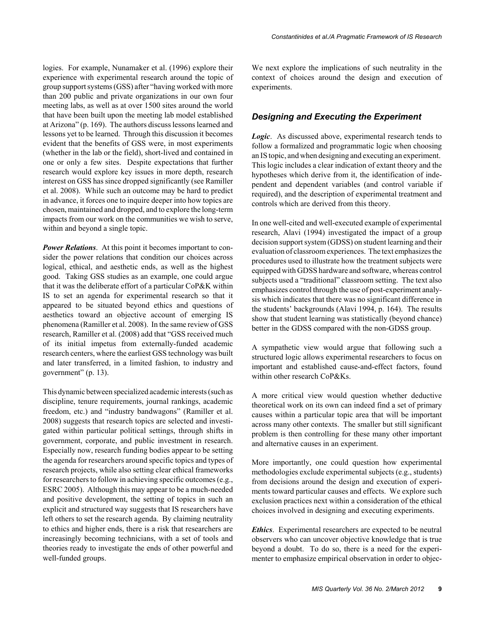logies. For example, Nunamaker et al. (1996) explore their experience with experimental research around the topic of group support systems (GSS) after "having worked with more than 200 public and private organizations in our own four meeting labs, as well as at over 1500 sites around the world that have been built upon the meeting lab model established at Arizona" (p. 169). The authors discuss lessons learned and lessons yet to be learned. Through this discussion it becomes evident that the benefits of GSS were, in most experiments (whether in the lab or the field), short-lived and contained in one or only a few sites. Despite expectations that further research would explore key issues in more depth, research interest on GSS has since dropped significantly (see Ramiller et al. 2008). While such an outcome may be hard to predict in advance, it forces one to inquire deeper into how topics are chosen, maintained and dropped, and to explore the long-term impacts from our work on the communities we wish to serve, within and beyond a single topic.

*Power Relations*. At this point it becomes important to consider the power relations that condition our choices across logical, ethical, and aesthetic ends, as well as the highest good. Taking GSS studies as an example, one could argue that it was the deliberate effort of a particular CoP&K within IS to set an agenda for experimental research so that it appeared to be situated beyond ethics and questions of aesthetics toward an objective account of emerging IS phenomena (Ramiller et al. 2008). In the same review of GSS research, Ramiller et al. (2008) add that "GSS received much of its initial impetus from externally-funded academic research centers, where the earliest GSS technology was built and later transferred, in a limited fashion, to industry and government" (p. 13).

This dynamic between specialized academic interests (such as discipline, tenure requirements, journal rankings, academic freedom, etc.) and "industry bandwagons" (Ramiller et al. 2008) suggests that research topics are selected and investigated within particular political settings, through shifts in government, corporate, and public investment in research. Especially now, research funding bodies appear to be setting the agenda for researchers around specific topics and types of research projects, while also setting clear ethical frameworks for researchers to follow in achieving specific outcomes (e.g., ESRC 2005). Although this may appear to be a much-needed and positive development, the setting of topics in such an explicit and structured way suggests that IS researchers have left others to set the research agenda. By claiming neutrality to ethics and higher ends, there is a risk that researchers are increasingly becoming technicians, with a set of tools and theories ready to investigate the ends of other powerful and well-funded groups.

We next explore the implications of such neutrality in the context of choices around the design and execution of experiments.

#### *Designing and Executing the Experiment*

*Logic*. As discussed above, experimental research tends to follow a formalized and programmatic logic when choosing an IS topic, and when designing and executing an experiment. This logic includes a clear indication of extant theory and the hypotheses which derive from it, the identification of independent and dependent variables (and control variable if required), and the description of experimental treatment and controls which are derived from this theory.

In one well-cited and well-executed example of experimental research, Alavi (1994) investigated the impact of a group decision support system (GDSS) on student learning and their evaluation of classroom experiences. The text emphasizes the procedures used to illustrate how the treatment subjects were equipped with GDSS hardware and software, whereas control subjects used a "traditional" classroom setting. The text also emphasizes control through the use of post-experiment analysis which indicates that there was no significant difference in the students' backgrounds (Alavi 1994, p. 164). The results show that student learning was statistically (beyond chance) better in the GDSS compared with the non-GDSS group.

A sympathetic view would argue that following such a structured logic allows experimental researchers to focus on important and established cause-and-effect factors, found within other research CoP&Ks.

A more critical view would question whether deductive theoretical work on its own can indeed find a set of primary causes within a particular topic area that will be important across many other contexts. The smaller but still significant problem is then controlling for these many other important and alternative causes in an experiment.

More importantly, one could question how experimental methodologies exclude experimental subjects (e.g., students) from decisions around the design and execution of experiments toward particular causes and effects. We explore such exclusion practices next within a consideration of the ethical choices involved in designing and executing experiments.

*Ethics*. Experimental researchers are expected to be neutral observers who can uncover objective knowledge that is true beyond a doubt. To do so, there is a need for the experimenter to emphasize empirical observation in order to objec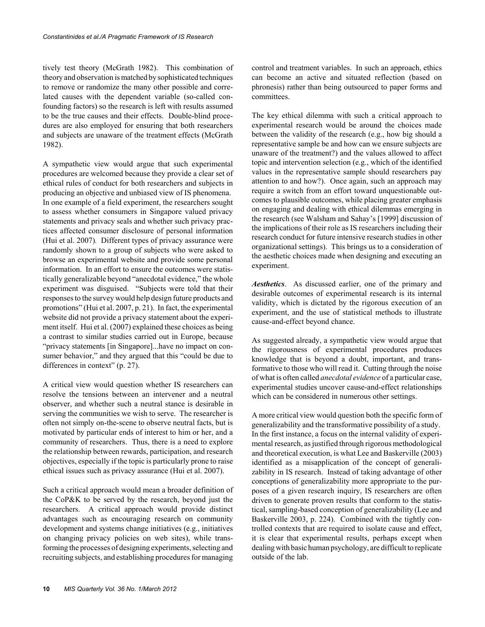tively test theory (McGrath 1982). This combination of theory and observation is matched by sophisticated techniques to remove or randomize the many other possible and correlated causes with the dependent variable (so-called confounding factors) so the research is left with results assumed to be the true causes and their effects. Double-blind procedures are also employed for ensuring that both researchers and subjects are unaware of the treatment effects (McGrath 1982).

A sympathetic view would argue that such experimental procedures are welcomed because they provide a clear set of ethical rules of conduct for both researchers and subjects in producing an objective and unbiased view of IS phenomena. In one example of a field experiment, the researchers sought to assess whether consumers in Singapore valued privacy statements and privacy seals and whether such privacy practices affected consumer disclosure of personal information (Hui et al. 2007)*.* Different types of privacy assurance were randomly shown to a group of subjects who were asked to browse an experimental website and provide some personal information. In an effort to ensure the outcomes were statistically generalizable beyond "anecdotal evidence," the whole experiment was disguised. "Subjects were told that their responses to the survey would help design future products and promotions" (Hui et al. 2007, p. 21). In fact, the experimental website did not provide a privacy statement about the experiment itself. Hui et al. (2007) explained these choices as being a contrast to similar studies carried out in Europe, because "privacy statements [in Singapore]...have no impact on consumer behavior," and they argued that this "could be due to differences in context" (p. 27).

A critical view would question whether IS researchers can resolve the tensions between an intervener and a neutral observer, and whether such a neutral stance is desirable in serving the communities we wish to serve. The researcher is often not simply on-the-scene to observe neutral facts, but is motivated by particular ends of interest to him or her, and a community of researchers. Thus, there is a need to explore the relationship between rewards, participation, and research objectives, especially if the topic is particularly prone to raise ethical issues such as privacy assurance (Hui et al. 2007).

Such a critical approach would mean a broader definition of the CoP&K to be served by the research, beyond just the researchers. A critical approach would provide distinct advantages such as encouraging research on community development and systems change initiatives (e.g., initiatives on changing privacy policies on web sites), while transforming the processes of designing experiments, selecting and recruiting subjects, and establishing procedures for managing

control and treatment variables. In such an approach, ethics can become an active and situated reflection (based on phronesis) rather than being outsourced to paper forms and committees.

The key ethical dilemma with such a critical approach to experimental research would be around the choices made between the validity of the research (e.g., how big should a representative sample be and how can we ensure subjects are unaware of the treatment?) and the values allowed to affect topic and intervention selection (e.g., which of the identified values in the representative sample should researchers pay attention to and how?). Once again, such an approach may require a switch from an effort toward unquestionable outcomes to plausible outcomes, while placing greater emphasis on engaging and dealing with ethical dilemmas emerging in the research (see Walsham and Sahay's [1999] discussion of the implications of their role as IS researchers including their research conduct for future intensive research studies in other organizational settings). This brings us to a consideration of the aesthetic choices made when designing and executing an experiment.

*Aesthetics*. As discussed earlier, one of the primary and desirable outcomes of experimental research is its internal validity, which is dictated by the rigorous execution of an experiment, and the use of statistical methods to illustrate cause-and-effect beyond chance.

As suggested already, a sympathetic view would argue that the rigorousness of experimental procedures produces knowledge that is beyond a doubt, important, and transformative to those who will read it. Cutting through the noise of what is often called *anecdotal evidence* of a particular case, experimental studies uncover cause-and-effect relationships which can be considered in numerous other settings.

A more critical view would question both the specific form of generalizability and the transformative possibility of a study. In the first instance, a focus on the internal validity of experimental research, as justified through rigorous methodological and theoretical execution, is what Lee and Baskerville (2003) identified as a misapplication of the concept of generalizability in IS research. Instead of taking advantage of other conceptions of generalizability more appropriate to the purposes of a given research inquiry, IS researchers are often driven to generate proven results that conform to the statistical, sampling-based conception of generalizability (Lee and Baskerville 2003, p. 224). Combined with the tightly controlled contexts that are required to isolate cause and effect, it is clear that experimental results, perhaps except when dealing with basic human psychology, are difficult to replicate outside of the lab.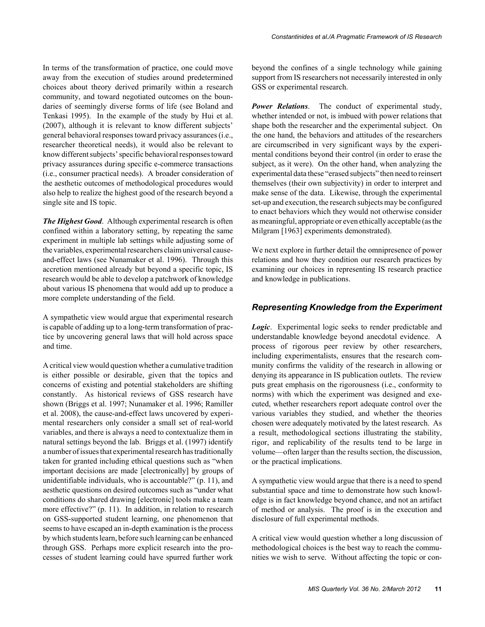In terms of the transformation of practice, one could move away from the execution of studies around predetermined choices about theory derived primarily within a research community, and toward negotiated outcomes on the boundaries of seemingly diverse forms of life (see Boland and Tenkasi 1995). In the example of the study by Hui et al. (2007), although it is relevant to know different subjects' general behavioral responses toward privacy assurances (i.e., researcher theoretical needs), it would also be relevant to know different subjects' specific behavioral responses toward privacy assurances during specific e-commerce transactions (i.e., consumer practical needs). A broader consideration of the aesthetic outcomes of methodological procedures would also help to realize the highest good of the research beyond a

*The Highest Good*. Although experimental research is often confined within a laboratory setting, by repeating the same experiment in multiple lab settings while adjusting some of the variables, experimental researchers claim universal causeand-effect laws (see Nunamaker et al. 1996). Through this accretion mentioned already but beyond a specific topic, IS research would be able to develop a patchwork of knowledge about various IS phenomena that would add up to produce a more complete understanding of the field.

single site and IS topic.

A sympathetic view would argue that experimental research is capable of adding up to a long-term transformation of practice by uncovering general laws that will hold across space and time.

A critical view would question whether a cumulative tradition is either possible or desirable, given that the topics and concerns of existing and potential stakeholders are shifting constantly. As historical reviews of GSS research have shown (Briggs et al. 1997; Nunamaker et al. 1996; Ramiller et al. 2008), the cause-and-effect laws uncovered by experimental researchers only consider a small set of real-world variables, and there is always a need to contextualize them in natural settings beyond the lab. Briggs et al. (1997) identify a number of issues that experimental research has traditionally taken for granted including ethical questions such as "when important decisions are made [electronically] by groups of unidentifiable individuals, who is accountable?" (p. 11), and aesthetic questions on desired outcomes such as "under what conditions do shared drawing [electronic] tools make a team more effective?" (p. 11). In addition, in relation to research on GSS-supported student learning, one phenomenon that seems to have escaped an in-depth examination is the process by which students learn, before such learning can be enhanced through GSS. Perhaps more explicit research into the processes of student learning could have spurred further work

beyond the confines of a single technology while gaining support from IS researchers not necessarily interested in only GSS or experimental research.

*Power Relations*. The conduct of experimental study, whether intended or not, is imbued with power relations that shape both the researcher and the experimental subject. On the one hand, the behaviors and attitudes of the researchers are circumscribed in very significant ways by the experimental conditions beyond their control (in order to erase the subject, as it were). On the other hand, when analyzing the experimental data these "erased subjects" then need to reinsert themselves (their own subjectivity) in order to interpret and make sense of the data. Likewise, through the experimental set-up and execution, the research subjects may be configured to enact behaviors which they would not otherwise consider as meaningful, appropriate or even ethically acceptable (as the Milgram [1963] experiments demonstrated).

We next explore in further detail the omnipresence of power relations and how they condition our research practices by examining our choices in representing IS research practice and knowledge in publications.

#### *Representing Knowledge from the Experiment*

*Logic*. Experimental logic seeks to render predictable and understandable knowledge beyond anecdotal evidence. A process of rigorous peer review by other researchers, including experimentalists, ensures that the research community confirms the validity of the research in allowing or denying its appearance in IS publication outlets. The review puts great emphasis on the rigorousness (i.e., conformity to norms) with which the experiment was designed and executed, whether researchers report adequate control over the various variables they studied, and whether the theories chosen were adequately motivated by the latest research. As a result, methodological sections illustrating the stability, rigor, and replicability of the results tend to be large in volume—often larger than the results section, the discussion, or the practical implications.

A sympathetic view would argue that there is a need to spend substantial space and time to demonstrate how such knowledge is in fact knowledge beyond chance, and not an artifact of method or analysis. The proof is in the execution and disclosure of full experimental methods.

A critical view would question whether a long discussion of methodological choices is the best way to reach the communities we wish to serve. Without affecting the topic or con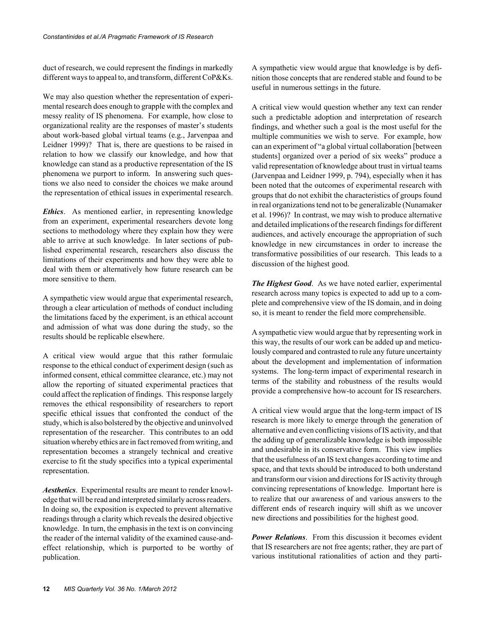duct of research, we could represent the findings in markedly different ways to appeal to, and transform, different CoP&Ks.

We may also question whether the representation of experimental research does enough to grapple with the complex and messy reality of IS phenomena. For example, how close to organizational reality are the responses of master's students about work-based global virtual teams (e.g., Jarvenpaa and Leidner 1999)? That is, there are questions to be raised in relation to how we classify our knowledge, and how that knowledge can stand as a productive representation of the IS phenomena we purport to inform. In answering such questions we also need to consider the choices we make around the representation of ethical issues in experimental research.

*Ethics*. As mentioned earlier, in representing knowledge from an experiment, experimental researchers devote long sections to methodology where they explain how they were able to arrive at such knowledge. In later sections of published experimental research, researchers also discuss the limitations of their experiments and how they were able to deal with them or alternatively how future research can be more sensitive to them.

A sympathetic view would argue that experimental research, through a clear articulation of methods of conduct including the limitations faced by the experiment, is an ethical account and admission of what was done during the study, so the results should be replicable elsewhere.

A critical view would argue that this rather formulaic response to the ethical conduct of experiment design (such as informed consent, ethical committee clearance, etc.) may not allow the reporting of situated experimental practices that could affect the replication of findings. This response largely removes the ethical responsibility of researchers to report specific ethical issues that confronted the conduct of the study, which is also bolstered by the objective and uninvolved representation of the researcher. This contributes to an odd situation whereby ethics are in fact removed from writing, and representation becomes a strangely technical and creative exercise to fit the study specifics into a typical experimental representation.

*Aesthetics*. Experimental results are meant to render knowledge that will be read and interpreted similarly across readers. In doing so, the exposition is expected to prevent alternative readings through a clarity which reveals the desired objective knowledge. In turn, the emphasis in the text is on convincing the reader of the internal validity of the examined cause-andeffect relationship, which is purported to be worthy of publication.

A sympathetic view would argue that knowledge is by definition those concepts that are rendered stable and found to be useful in numerous settings in the future.

A critical view would question whether any text can render such a predictable adoption and interpretation of research findings, and whether such a goal is the most useful for the multiple communities we wish to serve. For example, how can an experiment of "a global virtual collaboration [between students] organized over a period of six weeks" produce a valid representation of knowledge about trust in virtual teams (Jarvenpaa and Leidner 1999, p. 794), especially when it has been noted that the outcomes of experimental research with groups that do not exhibit the characteristics of groups found in real organizations tend not to be generalizable (Nunamaker et al. 1996)? In contrast, we may wish to produce alternative and detailed implications of the research findings for different audiences, and actively encourage the appropriation of such knowledge in new circumstances in order to increase the transformative possibilities of our research. This leads to a discussion of the highest good.

*The Highest Good*. As we have noted earlier, experimental research across many topics is expected to add up to a complete and comprehensive view of the IS domain, and in doing so, it is meant to render the field more comprehensible.

A sympathetic view would argue that by representing work in this way, the results of our work can be added up and meticulously compared and contrasted to rule any future uncertainty about the development and implementation of information systems. The long-term impact of experimental research in terms of the stability and robustness of the results would provide a comprehensive how-to account for IS researchers.

A critical view would argue that the long-term impact of IS research is more likely to emerge through the generation of alternative and even conflicting visions of IS activity, and that the adding up of generalizable knowledge is both impossible and undesirable in its conservative form. This view implies that the usefulness of an IS text changes according to time and space, and that texts should be introduced to both understand and transform our vision and directions for IS activity through convincing representations of knowledge. Important here is to realize that our awareness of and various answers to the different ends of research inquiry will shift as we uncover new directions and possibilities for the highest good.

*Power Relations*. From this discussion it becomes evident that IS researchers are not free agents; rather, they are part of various institutional rationalities of action and they parti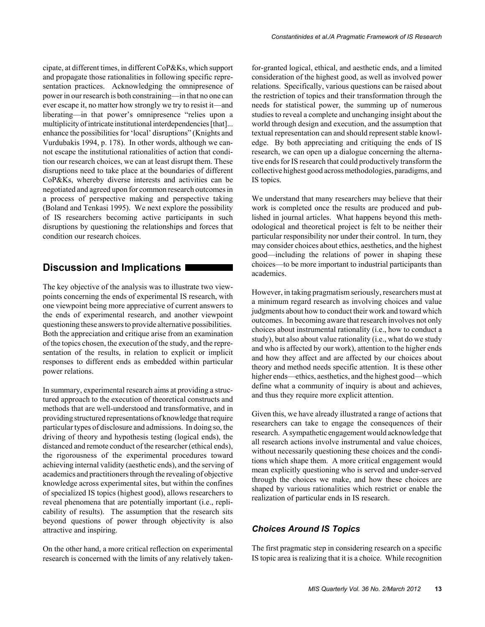cipate, at different times, in different CoP&Ks, which support and propagate those rationalities in following specific representation practices. Acknowledging the omnipresence of power in our research is both constraining—in that no one can ever escape it, no matter how strongly we try to resist it—and liberating—in that power's omnipresence "relies upon a multiplicity of intricate institutional interdependencies [that]... enhance the possibilities for 'local' disruptions" (Knights and Vurdubakis 1994, p. 178). In other words, although we cannot escape the institutional rationalities of action that condition our research choices, we can at least disrupt them. These disruptions need to take place at the boundaries of different CoP&Ks, whereby diverse interests and activities can be negotiated and agreed upon for common research outcomes in a process of perspective making and perspective taking (Boland and Tenkasi 1995). We next explore the possibility of IS researchers becoming active participants in such disruptions by questioning the relationships and forces that condition our research choices.

## **Discussion and Implications**

The key objective of the analysis was to illustrate two viewpoints concerning the ends of experimental IS research, with one viewpoint being more appreciative of current answers to the ends of experimental research, and another viewpoint questioning these answers to provide alternative possibilities. Both the appreciation and critique arise from an examination of the topics chosen, the execution of the study, and the representation of the results, in relation to explicit or implicit responses to different ends as embedded within particular power relations.

In summary, experimental research aims at providing a structured approach to the execution of theoretical constructs and methods that are well-understood and transformative, and in providing structured representations of knowledge that require particular types of disclosure and admissions. In doing so, the driving of theory and hypothesis testing (logical ends), the distanced and remote conduct of the researcher (ethical ends), the rigorousness of the experimental procedures toward achieving internal validity (aesthetic ends), and the serving of academics and practitioners through the revealing of objective knowledge across experimental sites, but within the confines of specialized IS topics (highest good), allows researchers to reveal phenomena that are potentially important (i.e., replicability of results). The assumption that the research sits beyond questions of power through objectivity is also attractive and inspiring.

On the other hand, a more critical reflection on experimental research is concerned with the limits of any relatively taken-

for-granted logical, ethical, and aesthetic ends, and a limited consideration of the highest good, as well as involved power relations. Specifically, various questions can be raised about the restriction of topics and their transformation through the needs for statistical power, the summing up of numerous studies to reveal a complete and unchanging insight about the world through design and execution, and the assumption that textual representation can and should represent stable knowledge. By both appreciating and critiquing the ends of IS research, we can open up a dialogue concerning the alternative ends for IS research that could productively transform the collective highest good across methodologies, paradigms, and IS topics.

We understand that many researchers may believe that their work is completed once the results are produced and published in journal articles. What happens beyond this methodological and theoretical project is felt to be neither their particular responsibility nor under their control. In turn, they may consider choices about ethics, aesthetics, and the highest good—including the relations of power in shaping these choices—to be more important to industrial participants than academics.

However, in taking pragmatism seriously, researchers must at a minimum regard research as involving choices and value judgments about how to conduct their work and toward which outcomes. In becoming aware that research involves not only choices about instrumental rationality (i.e., how to conduct a study), but also about value rationality (i.e., what do we study and who is affected by our work), attention to the higher ends and how they affect and are affected by our choices about theory and method needs specific attention. It is these other higher ends—ethics, aesthetics, and the highest good—which define what a community of inquiry is about and achieves, and thus they require more explicit attention.

Given this, we have already illustrated a range of actions that researchers can take to engage the consequences of their research. A sympathetic engagement would acknowledge that all research actions involve instrumental and value choices, without necessarily questioning these choices and the conditions which shape them. A more critical engagement would mean explicitly questioning who is served and under-served through the choices we make, and how these choices are shaped by various rationalities which restrict or enable the realization of particular ends in IS research.

## *Choices Around IS Topics*

The first pragmatic step in considering research on a specific IS topic area is realizing that it is a choice. While recognition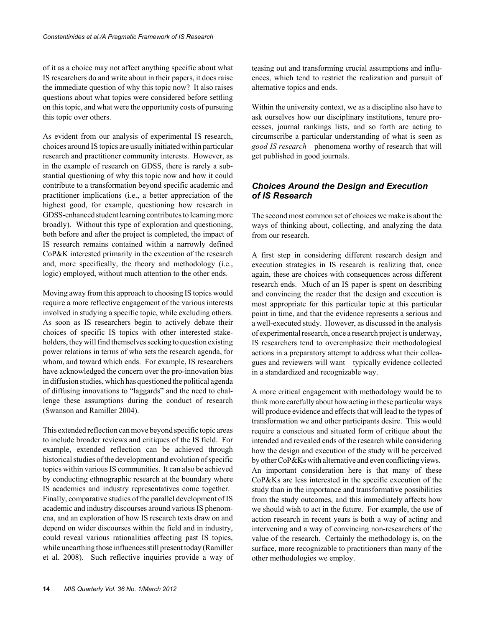of it as a choice may not affect anything specific about what IS researchers do and write about in their papers, it does raise the immediate question of why this topic now? It also raises questions about what topics were considered before settling on this topic, and what were the opportunity costs of pursuing this topic over others.

As evident from our analysis of experimental IS research, choices around IS topics are usually initiated within particular research and practitioner community interests. However, as in the example of research on GDSS, there is rarely a substantial questioning of why this topic now and how it could contribute to a transformation beyond specific academic and practitioner implications (i.e., a better appreciation of the highest good, for example, questioning how research in GDSS-enhanced student learning contributes to learning more broadly). Without this type of exploration and questioning, both before and after the project is completed, the impact of IS research remains contained within a narrowly defined CoP&K interested primarily in the execution of the research and, more specifically, the theory and methodology (i.e., logic) employed, without much attention to the other ends.

Moving away from this approach to choosing IS topics would require a more reflective engagement of the various interests involved in studying a specific topic, while excluding others. As soon as IS researchers begin to actively debate their choices of specific IS topics with other interested stakeholders, they will find themselves seeking to question existing power relations in terms of who sets the research agenda, for whom, and toward which ends. For example, IS researchers have acknowledged the concern over the pro-innovation bias in diffusion studies, which has questioned the political agenda of diffusing innovations to "laggards" and the need to challenge these assumptions during the conduct of research (Swanson and Ramiller 2004).

This extended reflection can move beyond specific topic areas to include broader reviews and critiques of the IS field. For example, extended reflection can be achieved through historical studies of the development and evolution of specific topics within various IS communities. It can also be achieved by conducting ethnographic research at the boundary where IS academics and industry representatives come together. Finally, comparative studies of the parallel development of IS academic and industry discourses around various IS phenomena, and an exploration of how IS research texts draw on and depend on wider discourses within the field and in industry, could reveal various rationalities affecting past IS topics, while unearthing those influences still present today (Ramiller et al. 2008). Such reflective inquiries provide a way of teasing out and transforming crucial assumptions and influences, which tend to restrict the realization and pursuit of alternative topics and ends.

Within the university context, we as a discipline also have to ask ourselves how our disciplinary institutions, tenure processes, journal rankings lists, and so forth are acting to circumscribe a particular understanding of what is seen as *good IS research*—phenomena worthy of research that will get published in good journals.

# *Choices Around the Design and Execution of IS Research*

The second most common set of choices we make is about the ways of thinking about, collecting, and analyzing the data from our research.

A first step in considering different research design and execution strategies in IS research is realizing that, once again, these are choices with consequences across different research ends. Much of an IS paper is spent on describing and convincing the reader that the design and execution is most appropriate for this particular topic at this particular point in time, and that the evidence represents a serious and a well-executed study. However, as discussed in the analysis of experimental research, once a research project is underway, IS researchers tend to overemphasize their methodological actions in a preparatory attempt to address what their colleagues and reviewers will want—typically evidence collected in a standardized and recognizable way.

A more critical engagement with methodology would be to think more carefully about how acting in these particular ways will produce evidence and effects that will lead to the types of transformation we and other participants desire. This would require a conscious and situated form of critique about the intended and revealed ends of the research while considering how the design and execution of the study will be perceived by other CoP&Ks with alternative and even conflicting views. An important consideration here is that many of these CoP&Ks are less interested in the specific execution of the study than in the importance and transformative possibilities from the study outcomes, and this immediately affects how we should wish to act in the future. For example, the use of action research in recent years is both a way of acting and intervening and a way of convincing non-researchers of the value of the research. Certainly the methodology is, on the surface, more recognizable to practitioners than many of the other methodologies we employ.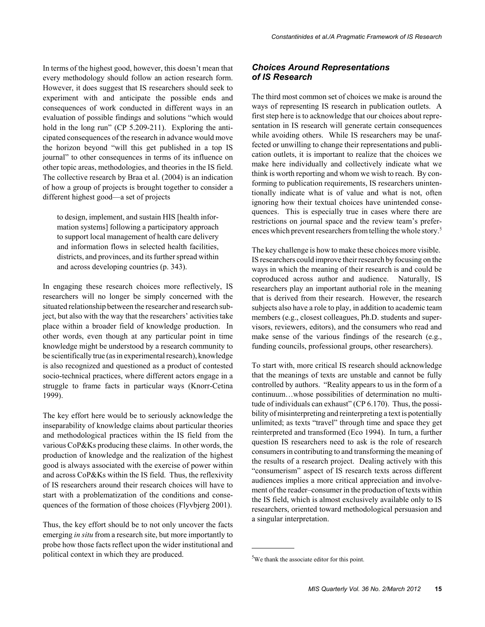In terms of the highest good, however, this doesn't mean that every methodology should follow an action research form. However, it does suggest that IS researchers should seek to experiment with and anticipate the possible ends and consequences of work conducted in different ways in an evaluation of possible findings and solutions "which would hold in the long run" (CP 5.209-211). Exploring the anticipated consequences of the research in advance would move the horizon beyond "will this get published in a top IS journal" to other consequences in terms of its influence on other topic areas, methodologies, and theories in the IS field. The collective research by Braa et al. (2004) is an indication of how a group of projects is brought together to consider a different highest good—a set of projects

to design, implement, and sustain HIS [health information systems] following a participatory approach to support local management of health care delivery and information flows in selected health facilities, districts, and provinces, and its further spread within and across developing countries (p. 343).

In engaging these research choices more reflectively, IS researchers will no longer be simply concerned with the situated relationship between the researcher and research subject, but also with the way that the researchers' activities take place within a broader field of knowledge production. In other words, even though at any particular point in time knowledge might be understood by a research community to be scientifically true (as in experimental research), knowledge is also recognized and questioned as a product of contested socio-technical practices, where different actors engage in a struggle to frame facts in particular ways (Knorr-Cetina 1999).

The key effort here would be to seriously acknowledge the inseparability of knowledge claims about particular theories and methodological practices within the IS field from the various CoP&Ks producing these claims. In other words, the production of knowledge and the realization of the highest good is always associated with the exercise of power within and across CoP&Ks within the IS field. Thus, the reflexivity of IS researchers around their research choices will have to start with a problematization of the conditions and consequences of the formation of those choices (Flyvbjerg 2001).

Thus, the key effort should be to not only uncover the facts emerging *in situ* from a research site, but more importantly to probe how those facts reflect upon the wider institutional and political context in which they are produced.

## *Choices Around Representations of IS Research*

The third most common set of choices we make is around the ways of representing IS research in publication outlets. A first step here is to acknowledge that our choices about representation in IS research will generate certain consequences while avoiding others. While IS researchers may be unaffected or unwilling to change their representations and publication outlets, it is important to realize that the choices we make here individually and collectively indicate what we think is worth reporting and whom we wish to reach. By conforming to publication requirements, IS researchers unintentionally indicate what is of value and what is not, often ignoring how their textual choices have unintended consequences. This is especially true in cases where there are restrictions on journal space and the review team's preferences which prevent researchers from telling the whole story.<sup>5</sup>

The key challenge is how to make these choices more visible. IS researchers could improve their research by focusing on the ways in which the meaning of their research is and could be coproduced across author and audience. Naturally, IS researchers play an important authorial role in the meaning that is derived from their research. However, the research subjects also have a role to play, in addition to academic team members (e.g., closest colleagues, Ph.D. students and supervisors, reviewers, editors), and the consumers who read and make sense of the various findings of the research (e.g., funding councils, professional groups, other researchers).

To start with, more critical IS research should acknowledge that the meanings of texts are unstable and cannot be fully controlled by authors. "Reality appears to us in the form of a continuum…whose possibilities of determination no multitude of individuals can exhaust" (CP 6.170). Thus, the possibility of misinterpreting and reinterpreting a text is potentially unlimited; as texts "travel" through time and space they get reinterpreted and transformed (Eco 1994). In turn, a further question IS researchers need to ask is the role of research consumers in contributing to and transforming the meaning of the results of a research project. Dealing actively with this "consumerism" aspect of IS research texts across different audiences implies a more critical appreciation and involvement of the reader–consumer in the production of texts within the IS field, which is almost exclusively available only to IS researchers, oriented toward methodological persuasion and a singular interpretation.

<sup>&</sup>lt;sup>5</sup>We thank the associate editor for this point.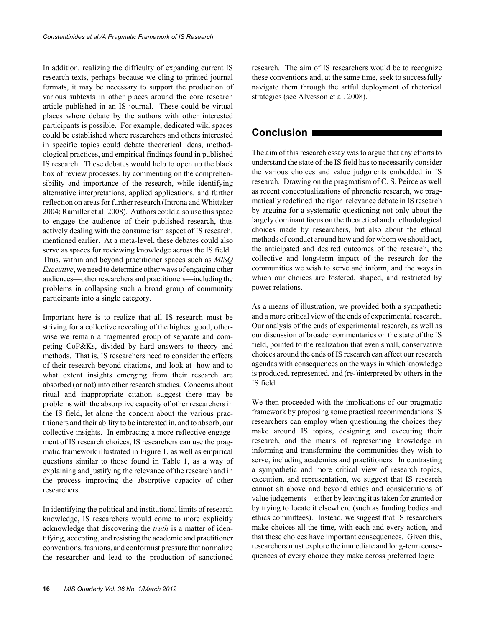In addition, realizing the difficulty of expanding current IS research texts, perhaps because we cling to printed journal formats, it may be necessary to support the production of various subtexts in other places around the core research article published in an IS journal. These could be virtual places where debate by the authors with other interested participants is possible. For example, dedicated wiki spaces could be established where researchers and others interested in specific topics could debate theoretical ideas, methodological practices, and empirical findings found in published IS research. These debates would help to open up the black box of review processes, by commenting on the comprehensibility and importance of the research, while identifying alternative interpretations, applied applications, and further reflection on areas for further research (Introna and Whittaker 2004; Ramiller et al. 2008). Authors could also use this space to engage the audience of their published research, thus actively dealing with the consumerism aspect of IS research, mentioned earlier. At a meta-level, these debates could also serve as spaces for reviewing knowledge across the IS field. Thus, within and beyond practitioner spaces such as *MISQ Executive*, we need to determine other ways of engaging other audiences—other researchers and practitioners—including the problems in collapsing such a broad group of community participants into a single category.

Important here is to realize that all IS research must be striving for a collective revealing of the highest good, otherwise we remain a fragmented group of separate and competing CoP&Ks, divided by hard answers to theory and methods. That is, IS researchers need to consider the effects of their research beyond citations, and look at how and to what extent insights emerging from their research are absorbed (or not) into other research studies. Concerns about ritual and inappropriate citation suggest there may be problems with the absorptive capacity of other researchers in the IS field, let alone the concern about the various practitioners and their ability to be interested in, and to absorb, our collective insights. In embracing a more reflective engagement of IS research choices, IS researchers can use the pragmatic framework illustrated in Figure 1, as well as empirical questions similar to those found in Table 1, as a way of explaining and justifying the relevance of the research and in the process improving the absorptive capacity of other researchers.

In identifying the political and institutional limits of research knowledge, IS researchers would come to more explicitly acknowledge that discovering the *truth* is a matter of identifying, accepting, and resisting the academic and practitioner conventions, fashions, and conformist pressure that normalize the researcher and lead to the production of sanctioned

research. The aim of IS researchers would be to recognize these conventions and, at the same time, seek to successfully navigate them through the artful deployment of rhetorical strategies (see Alvesson et al. 2008).

# **Conclusion**

The aim of this research essay was to argue that any efforts to understand the state of the IS field has to necessarily consider the various choices and value judgments embedded in IS research. Drawing on the pragmatism of C. S. Peirce as well as recent conceptualizations of phronetic research, we pragmatically redefined the rigor–relevance debate in IS research by arguing for a systematic questioning not only about the largely dominant focus on the theoretical and methodological choices made by researchers, but also about the ethical methods of conduct around how and for whom we should act, the anticipated and desired outcomes of the research, the collective and long-term impact of the research for the communities we wish to serve and inform, and the ways in which our choices are fostered, shaped, and restricted by power relations.

As a means of illustration, we provided both a sympathetic and a more critical view of the ends of experimental research. Our analysis of the ends of experimental research, as well as our discussion of broader commentaries on the state of the IS field, pointed to the realization that even small, conservative choices around the ends of IS research can affect our research agendas with consequences on the ways in which knowledge is produced, represented, and (re-)interpreted by others in the IS field.

We then proceeded with the implications of our pragmatic framework by proposing some practical recommendations IS researchers can employ when questioning the choices they make around IS topics, designing and executing their research, and the means of representing knowledge in informing and transforming the communities they wish to serve, including academics and practitioners. In contrasting a sympathetic and more critical view of research topics, execution, and representation, we suggest that IS research cannot sit above and beyond ethics and considerations of value judgements—either by leaving it as taken for granted or by trying to locate it elsewhere (such as funding bodies and ethics committees). Instead, we suggest that IS researchers make choices all the time, with each and every action, and that these choices have important consequences. Given this, researchers must explore the immediate and long-term consequences of every choice they make across preferred logic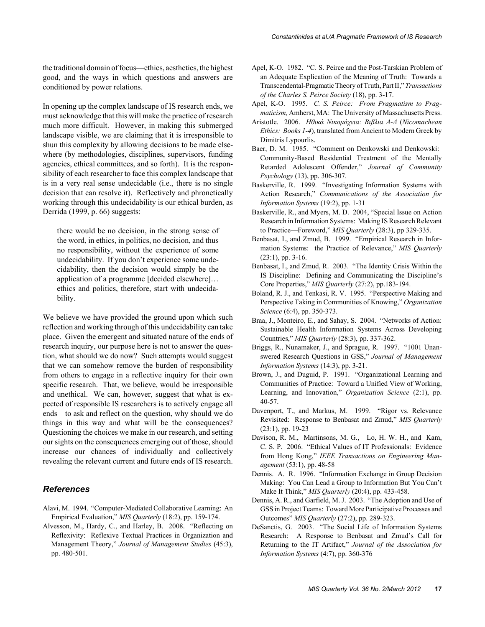the traditional domain of focus—ethics, aesthetics, the highest good, and the ways in which questions and answers are conditioned by power relations.

In opening up the complex landscape of IS research ends, we must acknowledge that this will make the practice of research much more difficult. However, in making this submerged landscape visible, we are claiming that it is irresponsible to shun this complexity by allowing decisions to be made elsewhere (by methodologies, disciplines, supervisors, funding agencies, ethical committees, and so forth). It is the responsibility of each researcher to face this complex landscape that is in a very real sense undecidable (i.e., there is no single decision that can resolve it). Reflectively and phronetically working through this undecidability is our ethical burden, as Derrida (1999, p. 66) suggests:

there would be no decision, in the strong sense of the word, in ethics, in politics, no decision, and thus no responsibility, without the experience of some undecidability. If you don't experience some undecidability, then the decision would simply be the application of a programme [decided elsewhere]… ethics and politics, therefore, start with undecidability.

We believe we have provided the ground upon which such reflection and working through of this undecidability can take place. Given the emergent and situated nature of the ends of research inquiry, our purpose here is not to answer the question, what should we do now? Such attempts would suggest that we can somehow remove the burden of responsibility from others to engage in a reflective inquiry for their own specific research. That, we believe, would be irresponsible and unethical. We can, however, suggest that what is expected of responsible IS researchers is to actively engage all ends—to ask and reflect on the question, why should we do things in this way and what will be the consequences? Questioning the choices we make in our research, and setting our sights on the consequences emerging out of those, should increase our chances of individually and collectively revealing the relevant current and future ends of IS research.

#### *References*

- Alavi, M. 1994. "Computer-Mediated Collaborative Learning: An Empirical Evaluation," *MIS Quarterly* (18:2), pp. 159-174.
- Alvesson, M., Hardy, C., and Harley, B. 2008. "Reflecting on Reflexivity: Reflexive Textual Practices in Organization and Management Theory," *Journal of Management Studies* (45:3), pp. 480-501.
- Apel, K-O. 1982. "C. S. Peirce and the Post-Tarskian Problem of an Adequate Explication of the Meaning of Truth: Towards a Transcendental-Pragmatic Theory of Truth, Part II," *Transactions of the Charles S. Peirce Society* (18), pp. 3-17.
- Apel, K-O. 1995. *C. S. Peirce: From Pragmatism to Pragmaticism,* Amherst, MA: The University of Massachusetts Press.
- Aristotle. 2006. *Ηθικά Νικομάχεια: Βιβλια Α-Δ* (*Nicomachean Ethics: Books 1-4*), translated from Ancient to Modern Greek by Dimitris Lypourlis.
- Baer, D. M. 1985. "Comment on Denkowski and Denkowski: Community-Based Residential Treatment of the Mentally Retarded Adolescent Offender," *Journal of Community Psychology* (13), pp. 306-307.
- Baskerville, R. 1999. "Investigating Information Systems with Action Research," *Communications of the Association for Information Systems* (19:2), pp. 1-31
- Baskerville, R., and Myers, M. D. 2004, "Special Issue on Action Research in Information Systems: Making IS Research Relevant to Practice—Foreword," *MIS Quarterly* (28:3), pp 329-335.
- Benbasat, I., and Zmud, B. 1999. "Empirical Research in Information Systems: the Practice of Relevance," *MIS Quarterly*  $(23:1)$ , pp. 3-16.
- Benbasat, I., and Zmud, R. 2003. "The Identity Crisis Within the IS Discipline: Defining and Communicating the Discipline's Core Properties," *MIS Quarterly* (27:2), pp.183-194.
- Boland, R. J., and Tenkasi, R. V. 1995. "Perspective Making and Perspective Taking in Communities of Knowing," *Organization Science* (6:4), pp. 350-373.
- Braa, J., Monteiro, E., and Sahay, S. 2004. "Networks of Action: Sustainable Health Information Systems Across Developing Countries," *MIS Quarterly* (28:3), pp. 337-362.
- Briggs, R., Nunamaker, J., and Sprague, R. 1997. "1001 Unanswered Research Questions in GSS," *Journal of Management Information Systems* (14:3), pp. 3-21.
- Brown, J., and Duguid, P. 1991. "Organizational Learning and Communities of Practice: Toward a Unified View of Working, Learning, and Innovation," *Organization Science* (2:1), pp. 40-57.
- Davenport, T., and Markus, M. 1999. "Rigor vs. Relevance Revisited: Response to Benbasat and Zmud," *MIS Quarterly* (23:1), pp. 19-23
- Davison, R. M., Martinsons, M. G., Lo, H. W. H., and Kam, C. S. P. 2006. "Ethical Values of IT Professionals: Evidence from Hong Kong," *IEEE Transactions on Engineering Management* (53:1), pp. 48-58
- Dennis. A. R. 1996. "Information Exchange in Group Decision Making: You Can Lead a Group to Information But You Can't Make It Think," *MIS Quarterly* (20:4), pp. 433-458.
- Dennis, A. R., and Garfield, M. J. 2003. "The Adoption and Use of GSS in Project Teams: Toward More Participative Processes and Outcomes" *MIS Quarterly* (27:2), pp. 289-323.
- DeSanctis, G. 2003. "The Social Life of Information Systems Research: A Response to Benbasat and Zmud's Call for Returning to the IT Artifact," *Journal of the Association for Information Systems* (4:7), pp. 360-376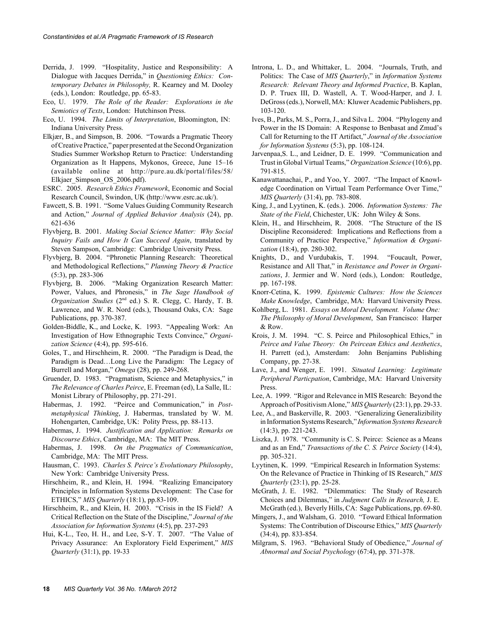- Derrida, J. 1999. "Hospitality, Justice and Responsibility: A Dialogue with Jacques Derrida," in *Questioning Ethics: Contemporary Debates in Philosophy,* R. Kearney and M. Dooley (eds.), London: Routledge, pp. 65-83.
- Eco, U. 1979. *The Role of the Reader: Explorations in the Semiotics of Texts*, London: Hutchinson Press.
- Eco, U. 1994. *The Limits of Interpretation*, Bloomington, IN: Indiana University Press.
- Elkjær, B., and Simpson, B. 2006. "Towards a Pragmatic Theory of Creative Practice," paper presented at the Second Organization Studies Summer Workshop Return to Practice: Understanding Organization as It Happens, Mykonos, Greece, June 15–16 (available online at http://pure.au.dk/portal/files/58/ Elkjaer Simpson OS 2006.pdf).
- ESRC. 2005. *Research Ethics Framework*, Economic and Social Research Council, Swindon, UK (http://www.esrc.ac.uk/).
- Fawcett, S. B. 1991. "Some Values Guiding Community Research and Action," *Journal of Applied Behavior Analysis* (24), pp. 621-636
- Flyvbjerg, B. 2001. *Making Social Science Matter: Why Social Inquiry Fails and How It Can Succeed Again*, translated by Steven Sampson, Cambridge: Cambridge University Press.
- Flyvbjerg, B. 2004. "Phronetic Planning Research: Theoretical and Methodological Reflections," *Planning Theory & Practice* (5:3), pp. 283-306
- Flyvbjerg, B. 2006. "Making Organization Research Matter: Power, Values, and Phronesis," in *The Sage Handbook of Organization Studies* (2nd ed.) S. R. Clegg, C. Hardy, T. B. Lawrence, and W. R. Nord (eds.), Thousand Oaks, CA: Sage Publications, pp. 370-387.
- Golden-Biddle, K., and Locke, K. 1993. "Appealing Work: An Investigation of How Ethnographic Texts Convince," *Organization Science* (4:4), pp. 595-616.
- Goles, T., and Hirschheim, R. 2000. "The Paradigm is Dead, the Paradigm is Dead…Long Live the Paradigm: The Legacy of Burrell and Morgan," *Omega* (28), pp. 249-268.
- Gruender, D. 1983. "Pragmatism, Science and Metaphysics," in *The Relevance of Charles Peirce*, E. Freeman (ed), La Salle, IL: Monist Library of Philosophy, pp. 271-291.
- Habermas, J. 1992. "Peirce and Communication," in *Postmetaphysical Thinking*, J. Habermas, translated by W. M. Hohengarten, Cambridge, UK: Polity Press, pp. 88-113.
- Habermas, J. 1994. *Justification and Application: Remarks on Discourse Ethics*, Cambridge, MA: The MIT Press.
- Habermas, J. 1998. *On the Pragmatics of Communication*, Cambridge, MA: The MIT Press.
- Hausman, C. 1993. *Charles S. Peirce's Evolutionary Philosophy*, New York: Cambridge University Press.
- Hirschheim, R., and Klein, H. 1994. "Realizing Emancipatory Principles in Information Systems Development: The Case for ETHICS," *MIS Quarterly* (18:1), pp.83-109.
- Hirschheim, R., and Klein, H. 2003. "Crisis in the IS Field? A Critical Reflection on the State of the Discipline," *Journal of the Association for Information Systems* (4:5), pp. 237-293
- Hui, K-L., Teo, H. H., and Lee, S-Y. T. 2007. "The Value of Privacy Assurance: An Exploratory Field Experiment," *MIS Quarterly* (31:1), pp. 19-33
- Introna, L. D., and Whittaker, L. 2004. "Journals, Truth, and Politics: The Case of *MIS Quarterly*," in *Information Systems Research: Relevant Theory and Informed Practice*, B. Kaplan, D. P. Truex III, D. Wastell, A. T. Wood-Harper, and J. I. DeGross (eds.), Norwell, MA: Kluwer Academic Publishers, pp. 103-120.
- Ives, B., Parks, M. S., Porra, J., and Silva L. 2004. "Phylogeny and Power in the IS Domain: A Response to Benbasat and Zmud's Call for Returning to the IT Artifact," *Journal of the Association for Information Systems* (5:3), pp. 108-124.
- Jarvenpaa,S. L., and Leidner, D. E. 1999. "Communication and Trust in Global Virtual Teams," *Organization Science* (10:6), pp. 791-815.
- Kanawattanachai, P., and Yoo, Y. 2007. "The Impact of Knowledge Coordination on Virtual Team Performance Over Time," *MIS Quarterly* (31:4), pp. 783-808.
- King, J., and Lyytinen, K. (eds.). 2006. *Information Systems: The State of the Field*, Chichester, UK: John Wiley & Sons.
- Klein, H., and Hirschheim, R. 2008. "The Structure of the IS Discipline Reconsidered: Implications and Reflections from a Community of Practice Perspective," *Information & Organization* (18:4), pp. 280-302.
- Knights, D., and Vurdubakis, T. 1994. "Foucault, Power, Resistance and All That," in *Resistance and Power in Organizations*, J. Jermier and W. Nord (eds.), London: Routledge, pp. 167-198.
- Knorr-Cetina, K. 1999. *Epistemic Cultures: How the Sciences Make Knowledge*, Cambridge, MA: Harvard University Press.
- Kohlberg, L. 1981. *Essays on Moral Development. Volume One: The Philosophy of Moral Development*, San Francisco: Harper & Row.
- Krois, J. M. 1994. "C. S. Peirce and Philosophical Ethics," in *Peirce and Value Theory: On Peircean Ethics and Aesthetics*, H. Parrett (ed.), Amsterdam: John Benjamins Publishing Company, pp. 27-38.
- Lave, J., and Wenger, E. 1991. *Situated Learning: Legitimate Peripheral Particpation*, Cambridge, MA: Harvard University Press.
- Lee, A. 1999. "Rigor and Relevance in MIS Research: Beyond the Approach of Positivism Alone," *MIS Quarterly* (23:1), pp. 29-33.
- Lee, A., and Baskerville, R. 2003. "Generalizing Generalizibility in Information Systems Research," *Information Systems Research* (14:3), pp. 221-243.
- Liszka, J. 1978. "Community is C. S. Peirce: Science as a Means and as an End," *Transactions of the C. S. Peirce Society* (14:4), pp. 305-321.
- Lyytinen, K. 1999. "Empirical Research in Information Systems: On the Relevance of Practice in Thinking of IS Research," *MIS Quarterly* (23:1), pp. 25-28.
- McGrath, J. E. 1982. "Dilemmatics: The Study of Research Choices and Dilemmas," in *Judgment Calls in Research,* J. E. McGrath (ed.), Beverly Hills, CA: Sage Publications, pp. 69-80.
- Mingers, J., and Walsham, G. 2010. "Toward Ethical Information Systems: The Contribution of Discourse Ethics," *MIS Quarterly* (34:4), pp. 833-854.
- Milgram, S. 1963. "Behavioral Study of Obedience," *Journal of Abnormal and Social Psychology* (67:4), pp. 371-378.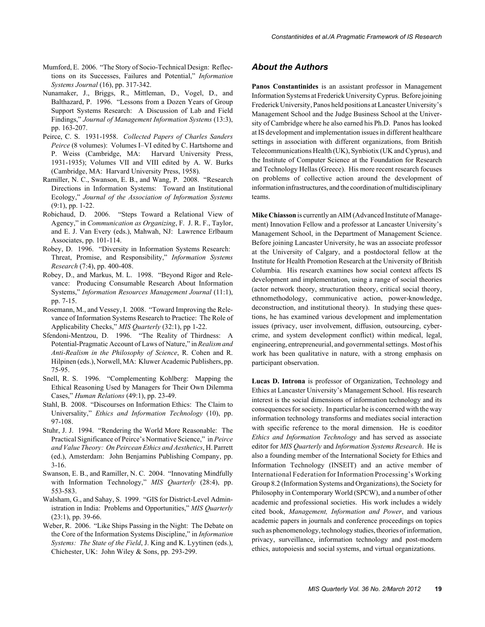- Mumford, E. 2006. "The Story of Socio-Technical Design: Reflections on its Successes, Failures and Potential," *Information Systems Journal* (16), pp. 317-342.
- Nunamaker, J., Briggs, R., Mittleman, D., Vogel, D., and Balthazard, P. 1996. "Lessons from a Dozen Years of Group Support Systems Research: A Discussion of Lab and Field Findings," *Journal of Management Information Systems* (13:3), pp. 163-207.
- Peirce, C. S. 1931-1958. *Collected Papers of Charles Sanders Peirce* (8 volumes): Volumes I–VI edited by C. Hartshorne and P. Weiss (Cambridge, MA: Harvard University Press, 1931-1935); Volumes VII and VIII edited by A. W. Burks (Cambridge, MA: Harvard University Press, 1958).
- Ramiller, N. C., Swanson, E. B., and Wang, P. 2008. "Research Directions in Information Systems: Toward an Institutional Ecology," *Journal of the Association of Information Systems* (9:1), pp. 1-22.
- Robichaud, D. 2006. "Steps Toward a Relational View of Agency," in *Communication as Organizing*, F. J. R. F., Taylor, and E. J. Van Every (eds.), Mahwah, NJ: Lawrence Erlbaum Associates, pp. 101-114.
- Robey, D. 1996. "Diversity in Information Systems Research: Threat, Promise, and Responsibility," *Information Systems Research* (7:4), pp. 400-408.
- Robey, D., and Markus, M. L. 1998. "Beyond Rigor and Relevance: Producing Consumable Research About Information Systems," *Information Resources Management Journal* (11:1), pp. 7-15.
- Rosemann, M., and Vessey, I. 2008. "Toward Improving the Relevance of Information Systems Research to Practice: The Role of Applicability Checks," *MIS Quarterly* (32:1), pp 1-22.
- Sfendoni-Mentzou, D. 1996. "The Reality of Thirdness: A Potential-Pragmatic Account of Laws of Nature," in *Realism and Anti-Realism in the Philosophy of Science*, R. Cohen and R. Hilpinen (eds.), Norwell, MA: Kluwer Academic Publishers, pp. 75-95.
- Snell, R. S. 1996. "Complementing Kohlberg: Mapping the Ethical Reasoning Used by Managers for Their Own Dilemma Cases," *Human Relations* (49:1), pp. 23-49.
- Stahl, B. 2008. "Discourses on Information Ethics: The Claim to Universality," *Ethics and Information Technology* (10), pp. 97-108.
- Stuhr, J. J. 1994. "Rendering the World More Reasonable: The Practical Significance of Peirce's Normative Science," in *Peirce and Value Theory: On Peircean Ethics and Aesthetics*, H. Parrett (ed.), Amsterdam: John Benjamins Publishing Company, pp. 3-16.
- Swanson, E. B., and Ramiller, N. C. 2004. "Innovating Mindfully with Information Technology," *MIS Quarterly* (28:4), pp. 553-583.
- Walsham, G., and Sahay, S. 1999. "GIS for District-Level Administration in India: Problems and Opportunities," *MIS Quarterly* (23:1), pp. 39-66.
- Weber, R. 2006. "Like Ships Passing in the Night: The Debate on the Core of the Information Systems Discipline," in *Information Systems: The State of the Field*, J. King and K. Lyytinen (eds.), Chichester, UK: John Wiley & Sons, pp. 293-299.

#### *About the Authors*

**Panos Constantinides** is an assistant professor in Management Information Systems at Frederick University Cyprus. Before joining Frederick University, Panos held positions at Lancaster University's Management School and the Judge Business School at the University of Cambridge where he also earned his Ph.D. Panos has looked at IS development and implementation issues in different healthcare settings in association with different organizations, from British Telecommunications Health (UK), Synbiotix (UK and Cyprus), and the Institute of Computer Science at the Foundation for Research and Technology Hellas (Greece). His more recent research focuses on problems of collective action around the development of information infrastructures, and the coordination of multidisciplinary teams.

**Mike Chiasson** is currently an AIM (Advanced Institute of Management) Innovation Fellow and a professor at Lancaster University's Management School, in the Department of Management Science. Before joining Lancaster University, he was an associate professor at the University of Calgary, and a postdoctoral fellow at the Institute for Health Promotion Research at the University of British Columbia. His research examines how social context affects IS development and implementation, using a range of social theories (actor network theory, structuration theory, critical social theory, ethnomethodology, communicative action, power-knowledge, deconstruction, and institutional theory). In studying these questions, he has examined various development and implementation issues (privacy, user involvement, diffusion, outsourcing, cybercrime, and system development conflict) within medical, legal, engineering, entrepreneurial, and governmental settings. Most of his work has been qualitative in nature, with a strong emphasis on participant observation.

**Lucas D. Introna** is professor of Organization, Technology and Ethics at Lancaster University's Management School. His research interest is the social dimensions of information technology and its consequences for society. In particular he is concerned with the way information technology transforms and mediates social interaction with specific reference to the moral dimension. He is coeditor *Ethics and Information Technology* and has served as associate editor for *MIS Quarterly* and *Information Systems Research*. He is also a founding member of the International Society for Ethics and Information Technology (INSEIT) and an active member of International Federation for Information Processing's Working Group 8.2 (Information Systems and Organizations), the Society for Philosophy in Contemporary World (SPCW), and a number of other academic and professional societies. His work includes a widely cited book, *Management, Information and Power*, and various academic papers in journals and conference proceedings on topics such as phenomenology, technology studies, theories of information, privacy, surveillance, information technology and post-modern ethics, autopoiesis and social systems, and virtual organizations.